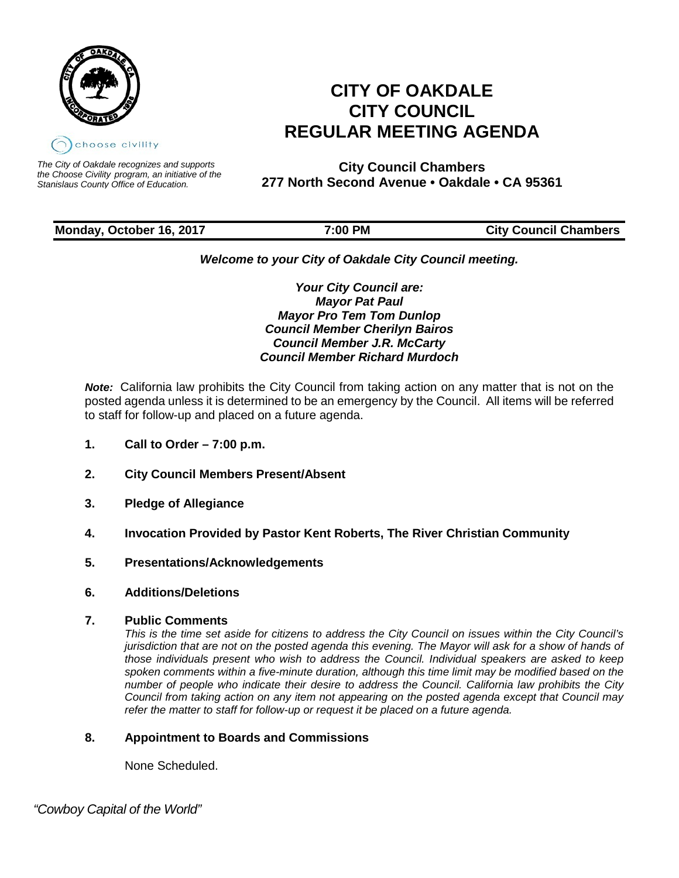

*The City of Oakdale recognizes and supports the Choose Civility program, an initiative of the Stanislaus County Office of Education.*

# **CITY OF OAKDALE CITY COUNCIL REGULAR MEETING AGENDA**

**City Council Chambers 277 North Second Avenue • Oakdale • CA 95361**

# **Monday, October 16, 2017** 7:00 PM City Council Chambers

# *Welcome to your City of Oakdale City Council meeting.*

*Your City Council are: Mayor Pat Paul Mayor Pro Tem Tom Dunlop Council Member Cherilyn Bairos Council Member J.R. McCarty Council Member Richard Murdoch*

*Note:* California law prohibits the City Council from taking action on any matter that is not on the posted agenda unless it is determined to be an emergency by the Council. All items will be referred to staff for follow-up and placed on a future agenda.

- **1. Call to Order – 7:00 p.m.**
- **2. City Council Members Present/Absent**
- **3. Pledge of Allegiance**
- **4. Invocation Provided by Pastor Kent Roberts, The River Christian Community**
- **5. Presentations/Acknowledgements**
- **6. Additions/Deletions**
- **7. Public Comments**

*This is the time set aside for citizens to address the City Council on issues within the City Council's jurisdiction that are not on the posted agenda this evening. The Mayor will ask for a show of hands of those individuals present who wish to address the Council. Individual speakers are asked to keep spoken comments within a five-minute duration, although this time limit may be modified based on the number of people who indicate their desire to address the Council. California law prohibits the City Council from taking action on any item not appearing on the posted agenda except that Council may refer the matter to staff for follow-up or request it be placed on a future agenda.*

# **8. Appointment to Boards and Commissions**

None Scheduled.

 *"Cowboy Capital of the World"*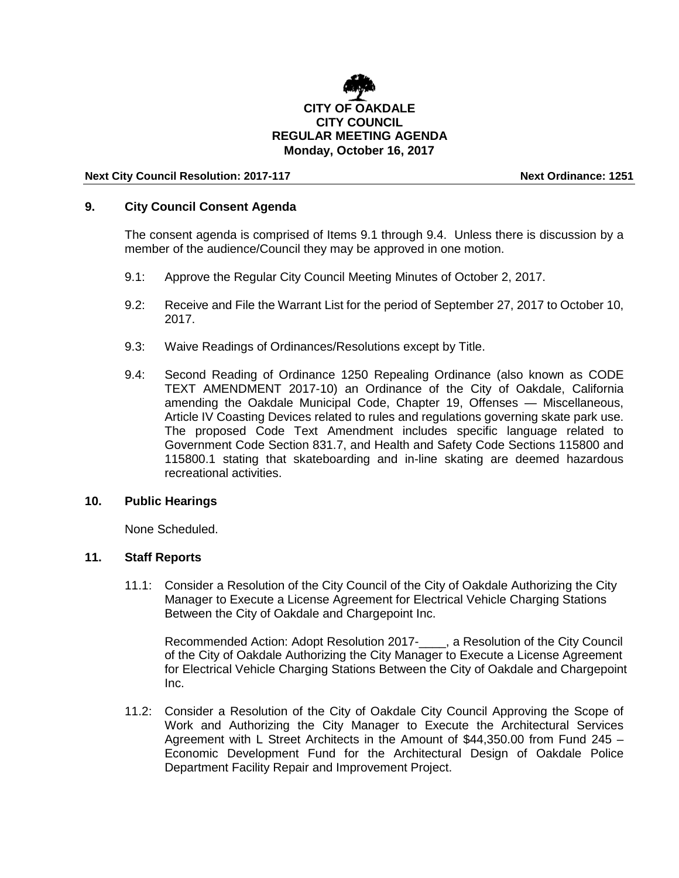

## **Next City Council Resolution: 2017-117 Next Ordinance: 1251**

## **9. City Council Consent Agenda**

The consent agenda is comprised of Items 9.1 through 9.4. Unless there is discussion by a member of the audience/Council they may be approved in one motion.

- 9.1: Approve the Regular City Council Meeting Minutes of October 2, 2017.
- 9.2: Receive and File the Warrant List for the period of September 27, 2017 to October 10, 2017.
- 9.3: Waive Readings of Ordinances/Resolutions except by Title.
- 9.4: Second Reading of Ordinance 1250 Repealing Ordinance (also known as CODE TEXT AMENDMENT 2017-10) an Ordinance of the City of Oakdale, California amending the Oakdale Municipal Code, Chapter 19, Offenses — Miscellaneous, Article IV Coasting Devices related to rules and regulations governing skate park use. The proposed Code Text Amendment includes specific language related to Government Code Section 831.7, and Health and Safety Code Sections 115800 and 115800.1 stating that skateboarding and in-line skating are deemed hazardous recreational activities.

#### **10. Public Hearings**

None Scheduled.

## **11. Staff Reports**

11.1: Consider a Resolution of the City Council of the City of Oakdale Authorizing the City Manager to Execute a License Agreement for Electrical Vehicle Charging Stations Between the City of Oakdale and Chargepoint Inc.

Recommended Action: Adopt Resolution 2017-\_\_\_\_, a Resolution of the City Council of the City of Oakdale Authorizing the City Manager to Execute a License Agreement for Electrical Vehicle Charging Stations Between the City of Oakdale and Chargepoint Inc.

11.2: Consider a Resolution of the City of Oakdale City Council Approving the Scope of Work and Authorizing the City Manager to Execute the Architectural Services Agreement with L Street Architects in the Amount of \$44,350.00 from Fund 245 – Economic Development Fund for the Architectural Design of Oakdale Police Department Facility Repair and Improvement Project.